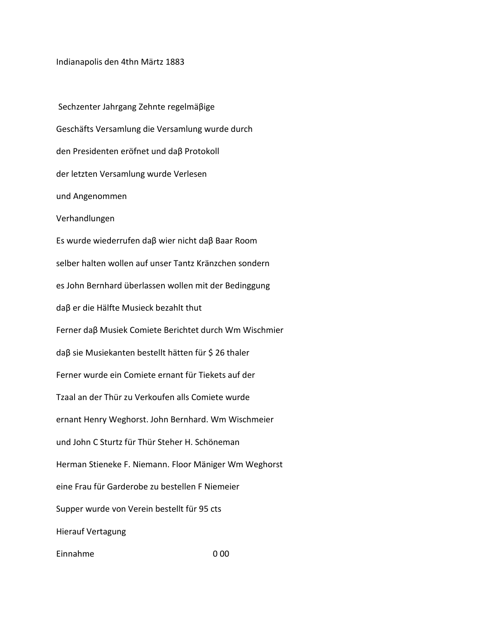Indianapolis den 4thn Märtz 1883

Sechzenter Jahrgang Zehnte regelmäßige Geschäfts Versamlung die Versamlung wurde durch den Presidenten eröfnet und daß Protokoll der letzten Versamlung wurde Verlesen und Angenommen Verhandlungen Es wurde wiederrufen daβ wier nicht daβ Baar Room selber halten wollen auf unser Tantz Kränzchen sondern es John Bernhard überlassen wollen mit der Bedinggung daβ er die Hälfte Musieck bezahlt thut Ferner daß Musiek Comiete Berichtet durch Wm Wischmier daβ sie Musiekanten bestellt hätten für \$ 26 thaler Ferner wurde ein Comiete ernant für Tiekets auf der Tzaal an der Thür zu Verkoufen alls Comiete wurde ernant Henry Weghorst. John Bernhard. Wm Wischmeier und John C Sturtz für Thür Steher H. Schöneman Herman Stieneke F. Niemann. Floor Mäniger Wm Weghorst eine Frau für Garderobe zu bestellen F Niemeier Supper wurde von Verein bestellt für 95 cts **Hierauf Vertagung** Einnahme  $000$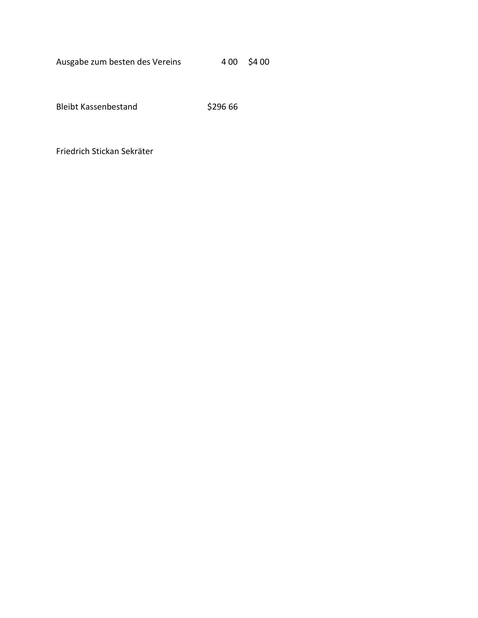Ausgabe zum besten des Vereins 400 \$4 00

Bleibt Kassenbestand \$296 66

Friedrich Stickan Sekräter